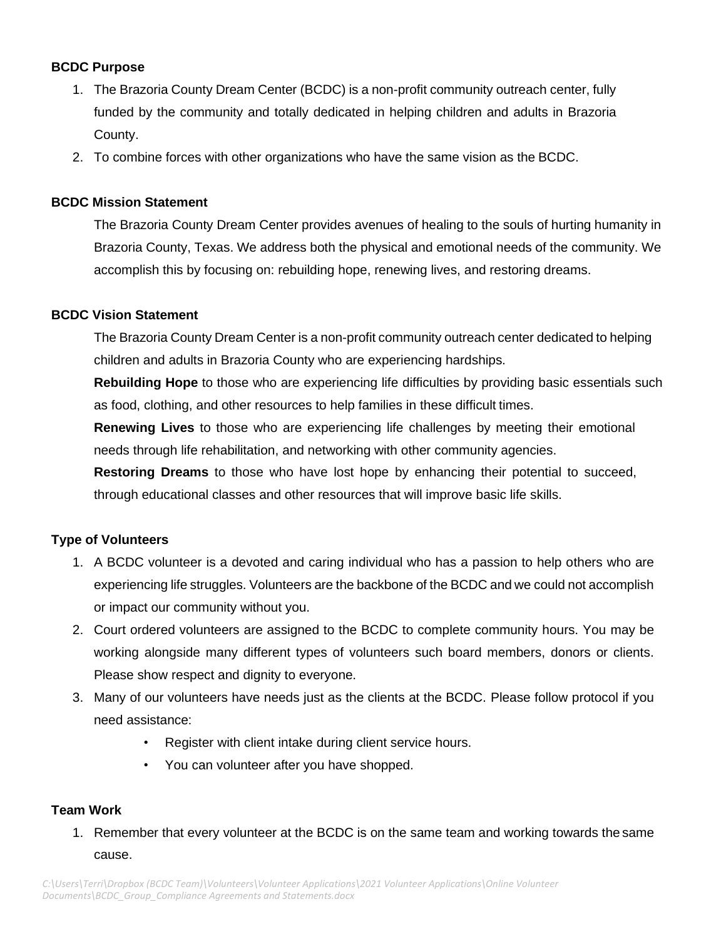### **BCDC Purpose**

- 1. The Brazoria County Dream Center (BCDC) is a non-profit community outreach center, fully funded by the community and totally dedicated in helping children and adults in Brazoria County.
- 2. To combine forces with other organizations who have the same vision as the BCDC.

### **BCDC Mission Statement**

The Brazoria County Dream Center provides avenues of healing to the souls of hurting humanity in Brazoria County, Texas. We address both the physical and emotional needs of the community. We accomplish this by focusing on: rebuilding hope, renewing lives, and restoring dreams.

### **BCDC Vision Statement**

The Brazoria County Dream Center is a non-profit community outreach center dedicated to helping children and adults in Brazoria County who are experiencing hardships.

**Rebuilding Hope** to those who are experiencing life difficulties by providing basic essentials such as food, clothing, and other resources to help families in these difficult times.

**Renewing Lives** to those who are experiencing life challenges by meeting their emotional needs through life rehabilitation, and networking with other community agencies.

**Restoring Dreams** to those who have lost hope by enhancing their potential to succeed, through educational classes and other resources that will improve basic life skills.

### **Type of Volunteers**

- 1. A BCDC volunteer is a devoted and caring individual who has a passion to help others who are experiencing life struggles. Volunteers are the backbone of the BCDC and we could not accomplish or impact our community without you.
- 2. Court ordered volunteers are assigned to the BCDC to complete community hours. You may be working alongside many different types of volunteers such board members, donors or clients. Please show respect and dignity to everyone.
- 3. Many of our volunteers have needs just as the clients at the BCDC. Please follow protocol if you need assistance:
	- Register with client intake during client service hours.
	- You can volunteer after you have shopped.

### **Team Work**

1. Remember that every volunteer at the BCDC is on the same team and working towards the same cause.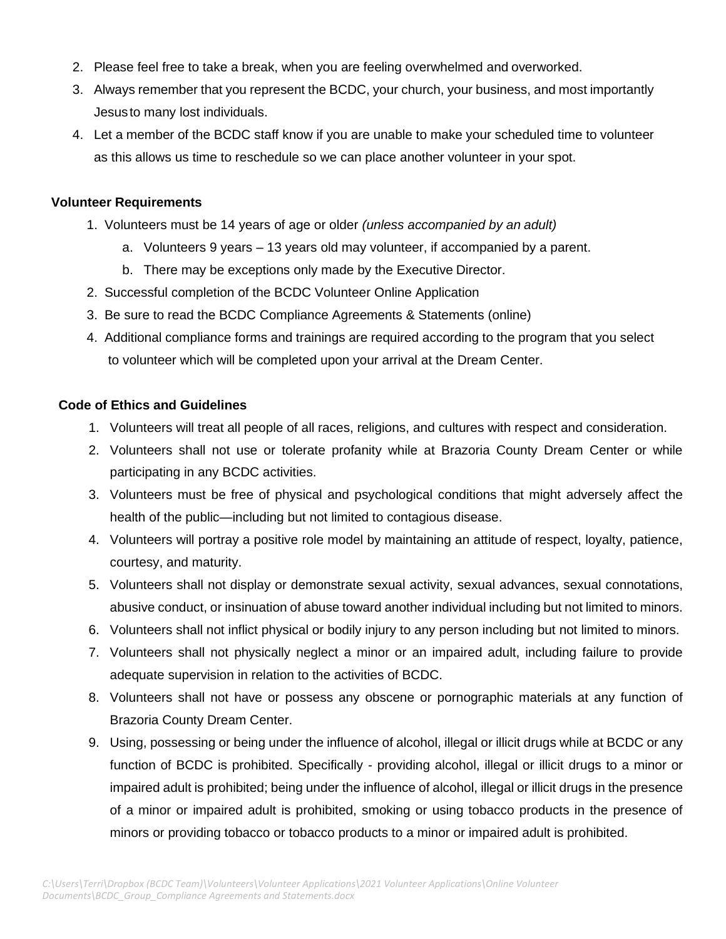- 2. Please feel free to take a break, when you are feeling overwhelmed and overworked.
- 3. Always remember that you represent the BCDC, your church, your business, and most importantly Jesusto many lost individuals.
- 4. Let a member of the BCDC staff know if you are unable to make your scheduled time to volunteer as this allows us time to reschedule so we can place another volunteer in your spot.

#### **Volunteer Requirements**

- 1. Volunteers must be 14 years of age or older *(unless accompanied by an adult)* 
	- a. Volunteers 9 years 13 years old may volunteer, if accompanied by a parent.
	- b. There may be exceptions only made by the Executive Director.
- 2. Successful completion of the BCDC Volunteer Online Application
- 3. Be sure to read the BCDC Compliance Agreements & Statements (online)
- 4. Additional compliance forms and trainings are required according to the program that you select to volunteer which will be completed upon your arrival at the Dream Center.

### **Code of Ethics and Guidelines**

- 1. Volunteers will treat all people of all races, religions, and cultures with respect and consideration.
- 2. Volunteers shall not use or tolerate profanity while at Brazoria County Dream Center or while participating in any BCDC activities.
- 3. Volunteers must be free of physical and psychological conditions that might adversely affect the health of the public—including but not limited to contagious disease.
- 4. Volunteers will portray a positive role model by maintaining an attitude of respect, loyalty, patience, courtesy, and maturity.
- 5. Volunteers shall not display or demonstrate sexual activity, sexual advances, sexual connotations, abusive conduct, or insinuation of abuse toward another individual including but not limited to minors.
- 6. Volunteers shall not inflict physical or bodily injury to any person including but not limited to minors.
- 7. Volunteers shall not physically neglect a minor or an impaired adult, including failure to provide adequate supervision in relation to the activities of BCDC.
- 8. Volunteers shall not have or possess any obscene or pornographic materials at any function of Brazoria County Dream Center.
- 9. Using, possessing or being under the influence of alcohol, illegal or illicit drugs while at BCDC or any function of BCDC is prohibited. Specifically - providing alcohol, illegal or illicit drugs to a minor or impaired adult is prohibited; being under the influence of alcohol, illegal or illicit drugs in the presence of a minor or impaired adult is prohibited, smoking or using tobacco products in the presence of minors or providing tobacco or tobacco products to a minor or impaired adult is prohibited.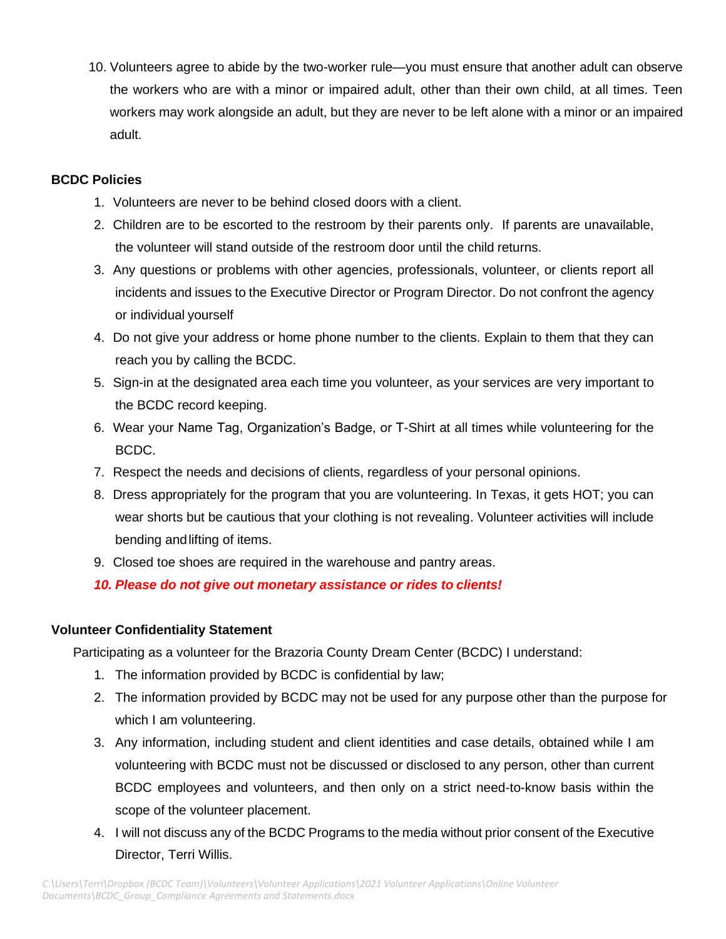10. Volunteers agree to abide by the two-worker rule—you must ensure that another adult can observe the workers who are with a minor or impaired adult, other than their own child, at all times. Teen workers may work alongside an adult, but they are never to be left alone with a minor or an impaired adult.

### **BCDC Policies**

- 1. Volunteers are never to be behind closed doors with a client.
- 2. Children are to be escorted to the restroom by their parents only. If parents are unavailable, the volunteer will stand outside of the restroom door until the child returns.
- 3. Any questions or problems with other agencies, professionals, volunteer, or clients report all incidents and issues to the Executive Director or Program Director. Do not confront the agency or individual yourself
- 4. Do not give your address or home phone number to the clients. Explain to them that they can reach you by calling the BCDC.
- 5. Sign-in at the designated area each time you volunteer, as your services are very important to the BCDC record keeping.
- 6. Wear your Name Tag, Organization's Badge, or T-Shirt at all times while volunteering for the BCDC.
- 7. Respect the needs and decisions of clients, regardless of your personal opinions.
- 8. Dress appropriately for the program that you are volunteering. In Texas, it gets HOT; you can wear shorts but be cautious that your clothing is not revealing. Volunteer activities will include bending andlifting of items.
- 9. Closed toe shoes are required in the warehouse and pantry areas.

*10. Please do not give out monetary assistance or rides to clients!*

### **Volunteer Confidentiality Statement**

Participating as a volunteer for the Brazoria County Dream Center (BCDC) I understand:

- 1. The information provided by BCDC is confidential by law;
- 2. The information provided by BCDC may not be used for any purpose other than the purpose for which I am volunteering.
- 3. Any information, including student and client identities and case details, obtained while I am volunteering with BCDC must not be discussed or disclosed to any person, other than current BCDC employees and volunteers, and then only on a strict need-to-know basis within the scope of the volunteer placement.
- 4. I will not discuss any of the BCDC Programs to the media without prior consent of the Executive Director, Terri Willis.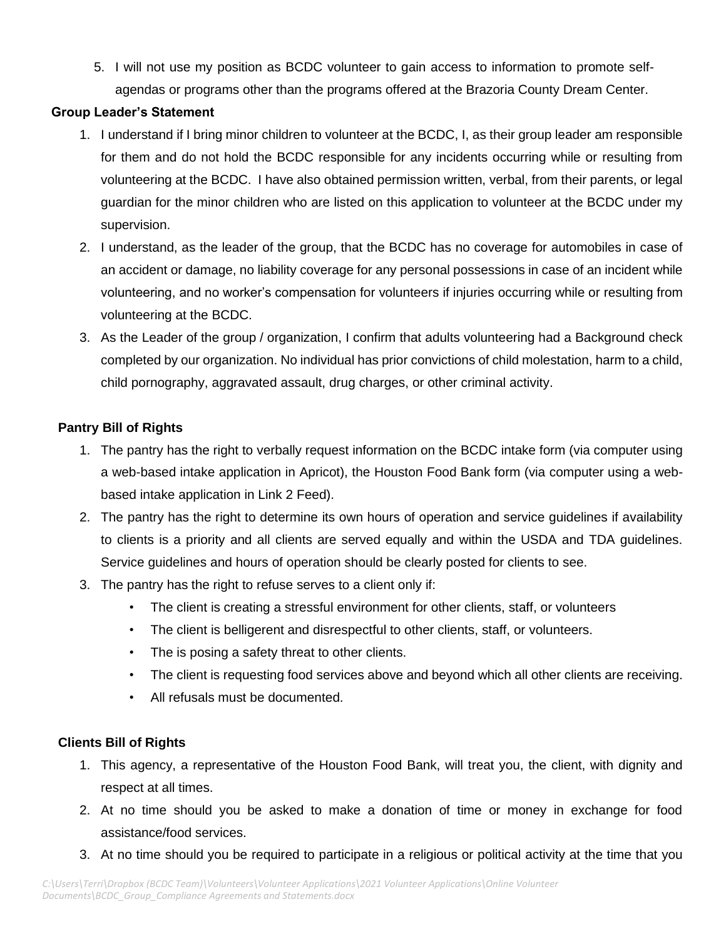5. I will not use my position as BCDC volunteer to gain access to information to promote selfagendas or programs other than the programs offered at the Brazoria County Dream Center.

## **Group Leader's Statement**

- 1. I understand if I bring minor children to volunteer at the BCDC, I, as their group leader am responsible for them and do not hold the BCDC responsible for any incidents occurring while or resulting from volunteering at the BCDC. I have also obtained permission written, verbal, from their parents, or legal guardian for the minor children who are listed on this application to volunteer at the BCDC under my supervision.
- 2. I understand, as the leader of the group, that the BCDC has no coverage for automobiles in case of an accident or damage, no liability coverage for any personal possessions in case of an incident while volunteering, and no worker's compensation for volunteers if injuries occurring while or resulting from volunteering at the BCDC.
- 3. As the Leader of the group / organization, I confirm that adults volunteering had a Background check completed by our organization. No individual has prior convictions of child molestation, harm to a child, child pornography, aggravated assault, drug charges, or other criminal activity.

# **Pantry Bill of Rights**

- 1. The pantry has the right to verbally request information on the BCDC intake form (via computer using a web-based intake application in Apricot), the Houston Food Bank form (via computer using a webbased intake application in Link 2 Feed).
- 2. The pantry has the right to determine its own hours of operation and service guidelines if availability to clients is a priority and all clients are served equally and within the USDA and TDA guidelines. Service guidelines and hours of operation should be clearly posted for clients to see.
- 3. The pantry has the right to refuse serves to a client only if:
	- The client is creating a stressful environment for other clients, staff, or volunteers
	- The client is belligerent and disrespectful to other clients, staff, or volunteers.
	- The is posing a safety threat to other clients.
	- The client is requesting food services above and beyond which all other clients are receiving.
	- All refusals must be documented.

## **Clients Bill of Rights**

- 1. This agency, a representative of the Houston Food Bank, will treat you, the client, with dignity and respect at all times.
- 2. At no time should you be asked to make a donation of time or money in exchange for food assistance/food services.
- 3. At no time should you be required to participate in a religious or political activity at the time that you